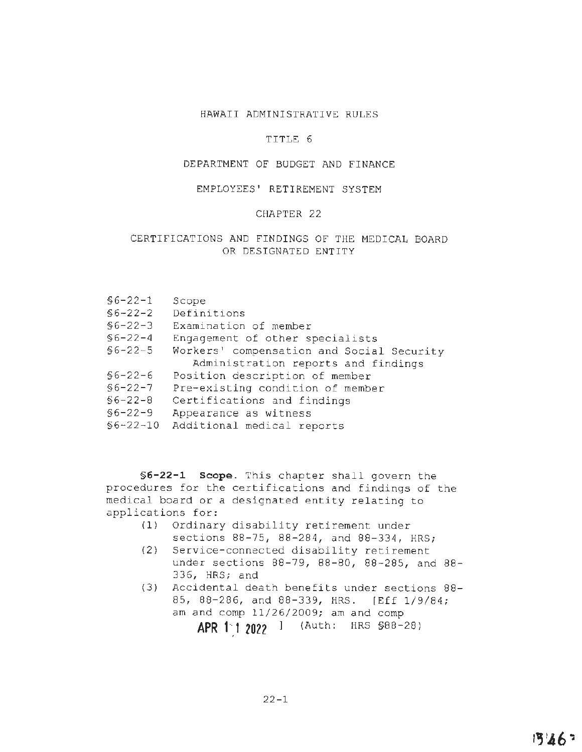# HAWAII ADMINISTRATIVE RULES

### TITLE 6

#### DEPARTMENT OF BUDGET AND FINANCE

### EMPLOYEES' RETIREMENT SYSTEM

### CHAPTER 22

## CERTIFICATIONS AND FINDINGS OF THE MEDICAL BOARD OR DESIGNATED ENTITY

|  |  |  | $$6 - 22 - 1$ |  | Scope |
|--|--|--|---------------|--|-------|
|--|--|--|---------------|--|-------|

- §6-22-2 Definitions
- §6-22-3 Examination of member
- §6-22-4 Engagement of other specialists
- §6-22-5 Workers' compensation and Social Security Administration reports and findings
- §6-22-6 Position description of member
- §6-22-7 Pre-existing condition of member
- §6-22-8 Certifications and findings
- §6-22-9 Appearance as witness
- §6-22-10 Additional medical reports

**§6-22-1 Scope.** This chapter shall govern the procedures for the certifications and findings of the medical board or a designated entity relating to applications for:

- (1) Ordinary disability retirement under sections 88-75, 88-284, and 88-334, HRS;
- (2) Service-connected disability retirement under sections 88-79, 88-80, 88-285, and 88- 336, HRS; and
- (3) Accidental death benefits under sections 88- 85, 88-286, and 88-339, HRS. [Eff 1/9/84; am and comp 11/26/2009; am and comp

**APR 1·f 202?** l (Auth: HRS §88-28)

 $22 - 1$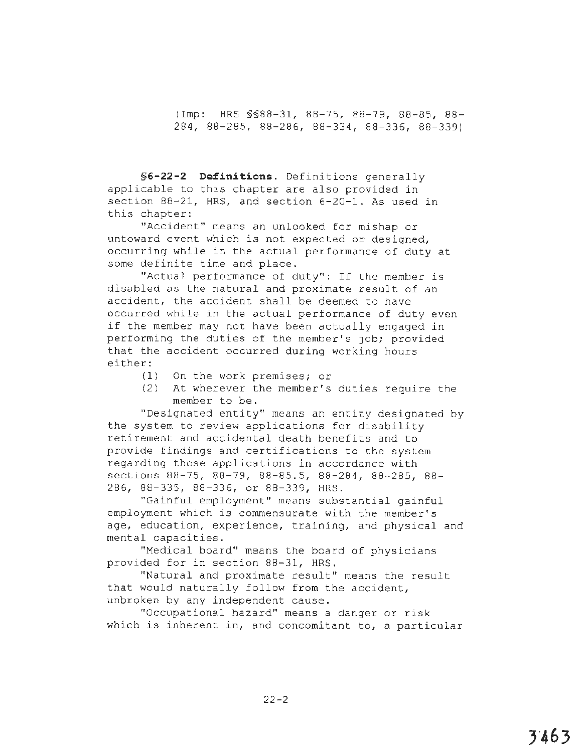(Imp: HRS §§88-31, 88-75, 88-79, 88-85, 88- 284, 88-285, 88-286, 88-334, 88-336, 88-339)

**§6-22-2 Definitions.** Definitions generally applicable to this chapter are also provided in section 88-21, HRS, and section 6-20-1. As used in this chapter:

"Accident" means an unlooked for mishap or untoward event which is not expected or designed, occurring while in the actual performance of duty at some definite time and place.

"Actual performance of duty": If the member is disabled as the natural and proximate result of an accident, the accident shall be deemed to have occurred while in the actual performance of duty even if the member may not have been actually engaged in performing the duties of the member's job; provided that the accident occurred **during** working hours either:

- ( **1)** On the work premises; or
- (2) At wherever the member's duties require the member to be.

"Designated entity" means an entity designated by the system to review applications for disability retirement and accidental death benefits and to provide findings and certifications to the system regarding those applications in accordance with sections 88-75, 88-79, 88-85. 5, 88-284, 88-285, 88- 286, 88-335, 88-336, or 88-339, HRS.

"Gainful employment" means substantial gainful employment which is commensurate with the member's age, education, experience, training, and physical and mental capacities.

"Medical board" means the board of physicians provided for in section 88-31, HRS.

"Natural and proximate result" means the result that would naturally follow from the accident, unbroken by any independent cause.

"Occupational hazard" means a danger or risk which is inherent in, and concomitant to, a particular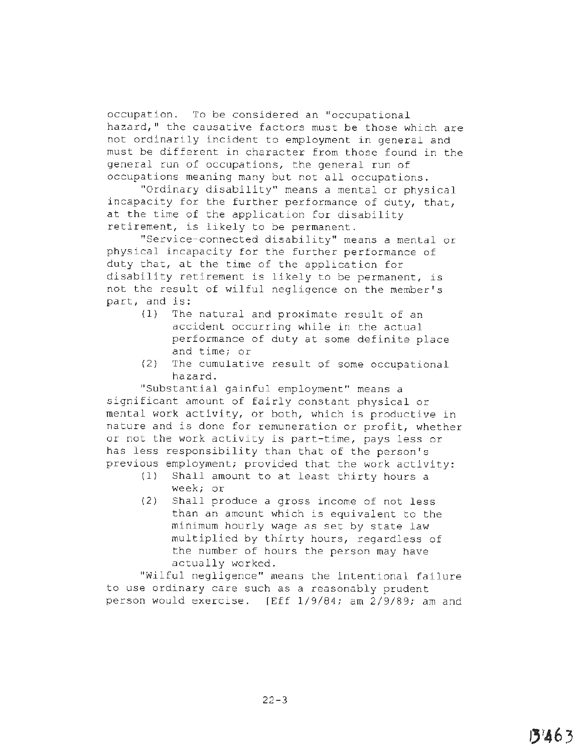occupation. To be considered an "occupational hazard," the causative factors must be those which are not ordinarily incident to employment in general and must be different in character from those found in the general run of occupations, the general run of occupations meaning many but not all occupations.

"Ordinary disability" means a mental or physical incapacity for the further performance of duty, that, at the time of the application for disability retirement, is likely to be permanent.

"Service-connected disability" means a mental or physical incapacity for the further performance of duty that, at the time of the application for disability retirement is likely to be permanent, is not the result of wilful negligence on the member's part, and is:

- (1) The natural and proximate result of an accident occurring while in the actual performance of duty at some definite place and time; or
- (2) The cumulative result of some occupational hazard.

"Substantial gainful employment" means a significant amount of fairly constant physical or mental work activity, or both, which is productive in nature and is done for remuneration or profit, whether or not the work activity is part-time, pays less or has less responsibility than that of the person's previous employment; provided that the work activity:

- (1) Shall amount to at least thirty hours a week; or
- (2) Shall produce a gross income of not less than an amount which is equivalent to the minimum hourly wage as set by state law multiplied by thirty hours, regardless of the number of hours the person may have actually worked.

"Wilful negligence" means the intentional failure to use ordinary care such as a reasonably prudent person would exercise. [Eff 1/9/84; am 2/9/89; am and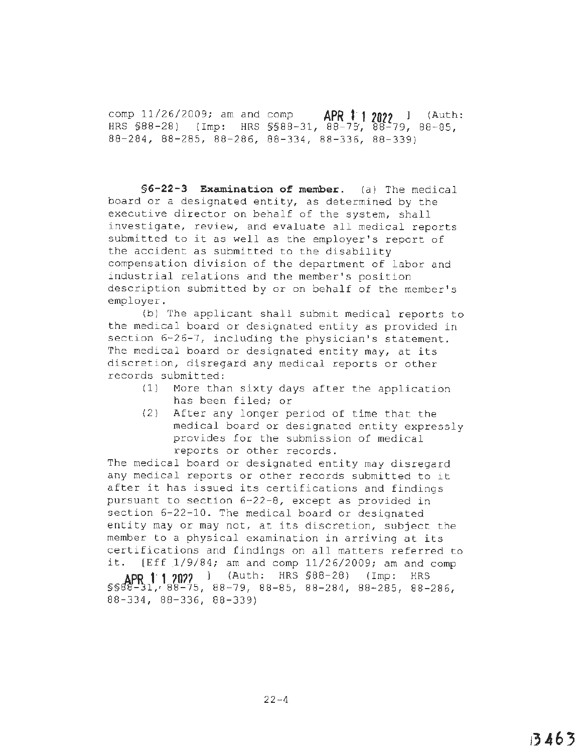comp 11/26/2009; am and comp **APR 11 2022** ] (Auth: HRS §88-28) (Imp: HRS §§88-31, 88-7~, 88-79, 88-85, 88-284, 88-285, 88-286, 88-334, 88-336, 88-339)

**§6-22-3 Examination of member.** (a) The medical board or a designated entity, as determined by the executive director on behalf of the system, shall investigate, review, and evaluate all medical reports submitted to it as well as the employer's report of the accident as submitted to the disability compensation division of the department of labor and industrial relations and the member's position description submitted by or on behalf of the member's employer.

(b) The applicant shall submit medical reports to the medical board or designated entity as provided in section 6-26-7, including the physician's statement. The medical board or designated entity may, at its discretion, disregard any medical reports or other records submitted:

- (1) More than sixty days after the application has been filed; or
- (2) After any longer period of time that the medical board or designated entity expressly provides for the submission of medical reports or other records.

The medical board or designated entity may disregard any medical reports or other records submitted to it after it has issued its certifications and findings pursuant to section 6-22-8, except as provided in section 6-22-10. The medical board or designated entity may or may not, at its discretion, subject the member to a physical examination in arriving at its certifications and findings on all matters referred to it. (Eff 1/9/84; am and comp 11/26/2009; am and comp

**AP~ 1· 1 ?0??** ) (Auth: HRS §88-28) (Imp: HRS §§88'...:~n,, 88-75, 88-79, 88-85, 88-284, 88-285, 88-286, 88-334, 88-336, 88-339)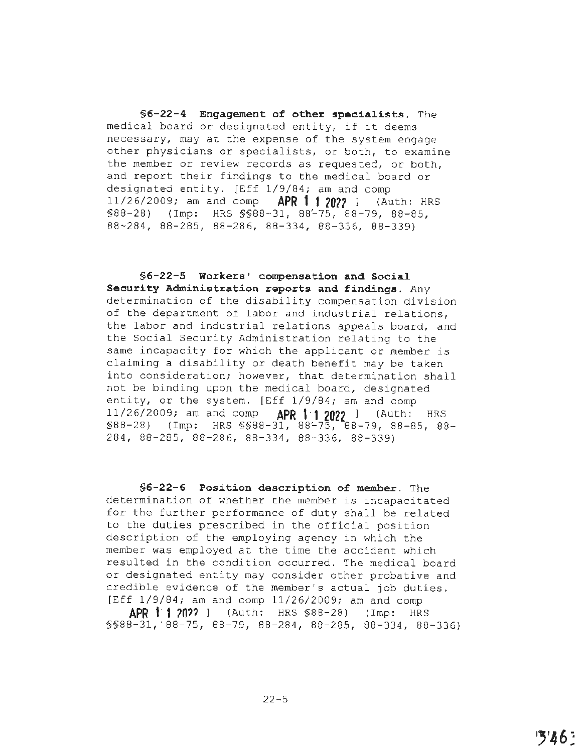**§6-22-4 Engagement of other specialists.** The medical board or designated entity, if it deems necessary, may at the expense of the system engage other physicians or specialists, or both, to examine the member or review records as requested, or both, and report their findings to the medical board or designated entity. [Eff 1/9/84; am and comp 11/26/2009; am and comp **APR t· 1 ?022** ] (Auth: HRS §88-28) (Imp: HRS §§88-31, 88'-75, 88-79, 88-85, 88~284, 88-285, 88-286, 88-334, 88-336, 88-339)

**§6-22-5 Workers' compensation and Social Security Administration reports and findings.** Any determination of the disability compensation division of the department of labor and industrial relations, the labor and industrial relations appeals board, and the Social Security Administration relating to the same incapacity for which the applicant or member is claiming a disability or death benefit may be taken into consideration; however, that determination shall not be binding upon the medical board, designated entity, or the system. [Eff 1/9/84; am and comp 11/26/2009; am and comp **APR 1·1 2022** I (Auth: HRS  $$88-28$ ) (Imp: HRS  $$888-31, 88-75$ , 88-79, 88-85, 88-284, 88-285, 88-286, 88-334, 88-336, 88-339)

**§6-22-6 Position description of member.** The determination of whether the member is incapacitated for the further performance of duty shall be related to the duties prescribed in the official position description of the employing agency in which the member was employed at the time the accident which resulted in the condition occurred. The medical board or designated entity may consider other probative and credible evidence of the member's actual job duties. [Eff 1/9/84; am and comp 11/26/2009; am and comp

**APR 1·1 ?0??** l (Auth: HRS §88-28) (Imp: HRS §§88-31, ' 88-75, 88-79, 88-284, 88-285, 88-334, 88-336)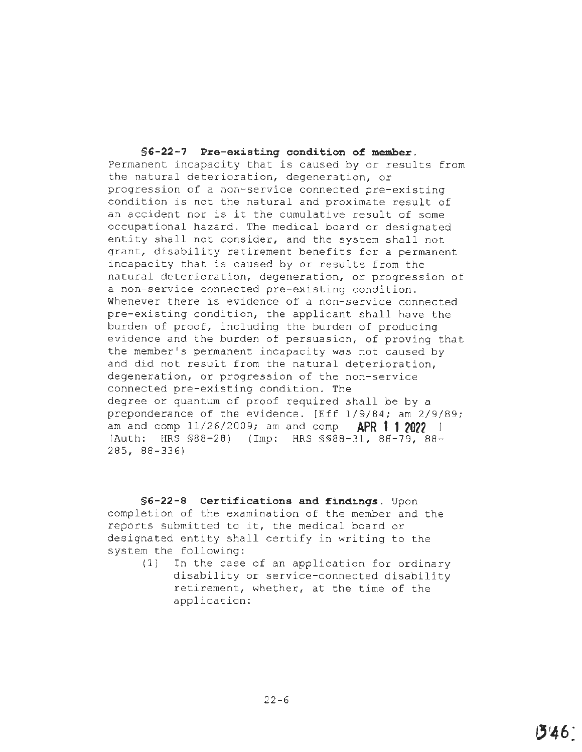**§G-22-7 Pre-existing condition of member.**  Permanent incapacity that is caused by or results from the natural deterioration, degeneration, or progression of a non-service connected pre-existing condition is not the natural and proximate result of an accident nor is it the cumulative result of some occupational hazard. The medical board or designated entity shall not consider, and the system shall not grant, disability retirement benefits for a permanent incapacity that is caused by or results from the natural deterioration, degeneration, or progression of a non-service connected pre-existing condition. Whenever there is evidence of a non-service connected pre-existing condition, the applicant shall have the burden of proof, including the burden of producing evidence and the burden of persuasion, of proving that the member's permanent incapacity was not caused by and did not result from the natural deterioration, degeneration, or progression of the non-service connected pre-existing condition. The degree or quantum of proof required shall be by a preponderance of the evidence. [Eff 1/9/84; am 2/9/89; am and comp 11/26/2009; am and comp **APR 1 1 2022** <sup>l</sup> (Auth: HRS §88-28) (Imp: HRS §§88-31, 88-79, 88-285, 88-336)

**§ G-22-8 Certifications and findings.** Upon completion of the examination of the member and the reports submitted to it, the medical board or designated entity shall certify in writing to the system the following:

> (1) In the case of an application for ordinary disability or service-connected disability retirement, whether, at the time of the application: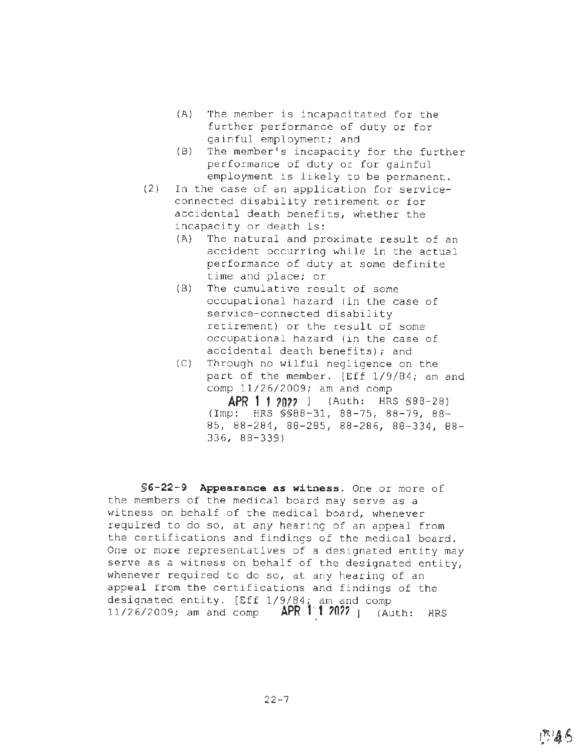- (A) The member is incapacitated for the further performance of duty or for gainful employment; and
- (B) The member's incapacity for the further performance of duty or for gainful employment is likely to be permanent.
- (2) In the case of an application for serviceconnected disability retirement or for accidental death benefits, whether the incapacity or death is:
	- (A) The natural and proximate result of an accident occurring while in the actual performance of duty at some definite time and place; or
	- (B) The cumulative result of some occupational hazard (in the case of service-connected disability retirement) or the result of some occupational hazard {in the case of accidental death benefits); and
	- (C) Through no wilful negligence on the part of the member. [Eff 1/9/84; am and comp 11/26/2009; am and comp

**APR 1 f ?O??** l (Auth: HRS §88-28) (Imp: HRS §§88-31, 88-75, 88-79, 88- 85, 88-284, 88-285, 88-286, 88-334, 88- 336, 88-339)

**§6-22-9 Appearance as witness.** One or more of the members of the medical board may serve as a witness on behalf of the medical board, whenever required to do so, at any hearing of an appeal from the certifications and findings of the medical board. One or more representatives of a designated entity may serve as a witness on behalf of the designated entity, whenever required to do so, at any hearing of an appeal from the certifications and findings of the designated entity. [Eff 1/9/84; am and comp 11/26/2009; am and comp **APR t··,1 ?0??** ] (Auth: HRS